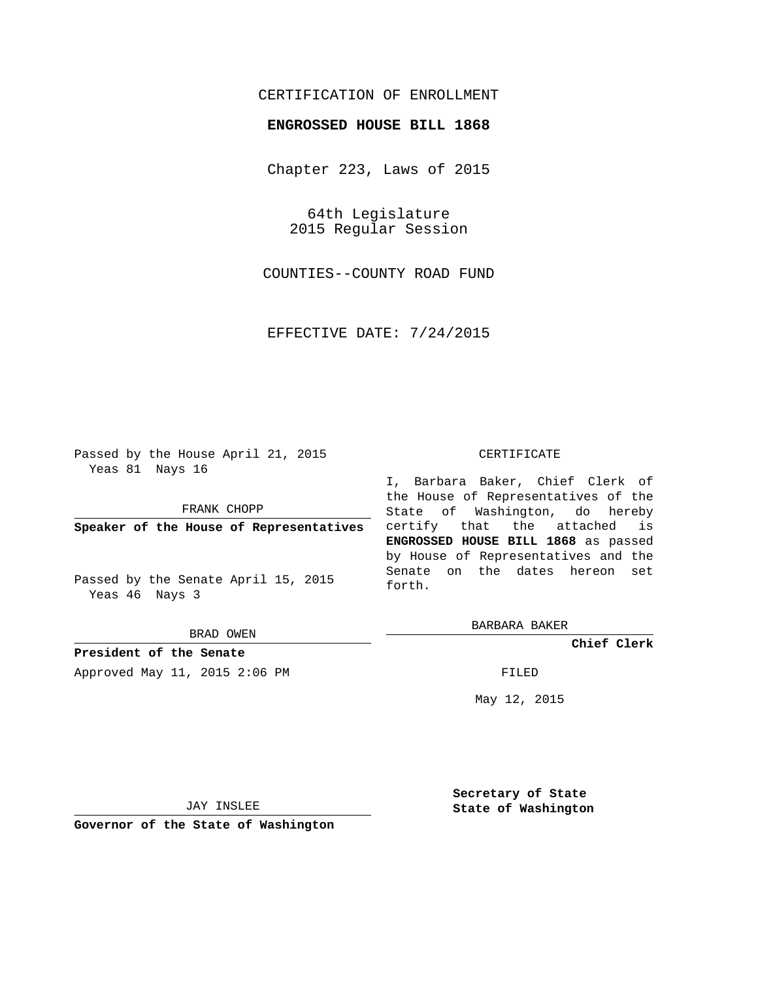## CERTIFICATION OF ENROLLMENT

## **ENGROSSED HOUSE BILL 1868**

Chapter 223, Laws of 2015

64th Legislature 2015 Regular Session

COUNTIES--COUNTY ROAD FUND

EFFECTIVE DATE: 7/24/2015

Passed by the House April 21, 2015 Yeas 81 Nays 16

FRANK CHOPP

**Speaker of the House of Representatives**

Passed by the Senate April 15, 2015 Yeas 46 Nays 3

BRAD OWEN

**President of the Senate** Approved May 11, 2015 2:06 PM FILED

#### CERTIFICATE

I, Barbara Baker, Chief Clerk of the House of Representatives of the State of Washington, do hereby certify that the attached is **ENGROSSED HOUSE BILL 1868** as passed by House of Representatives and the Senate on the dates hereon set forth.

BARBARA BAKER

**Chief Clerk**

May 12, 2015

JAY INSLEE

**Governor of the State of Washington**

**Secretary of State State of Washington**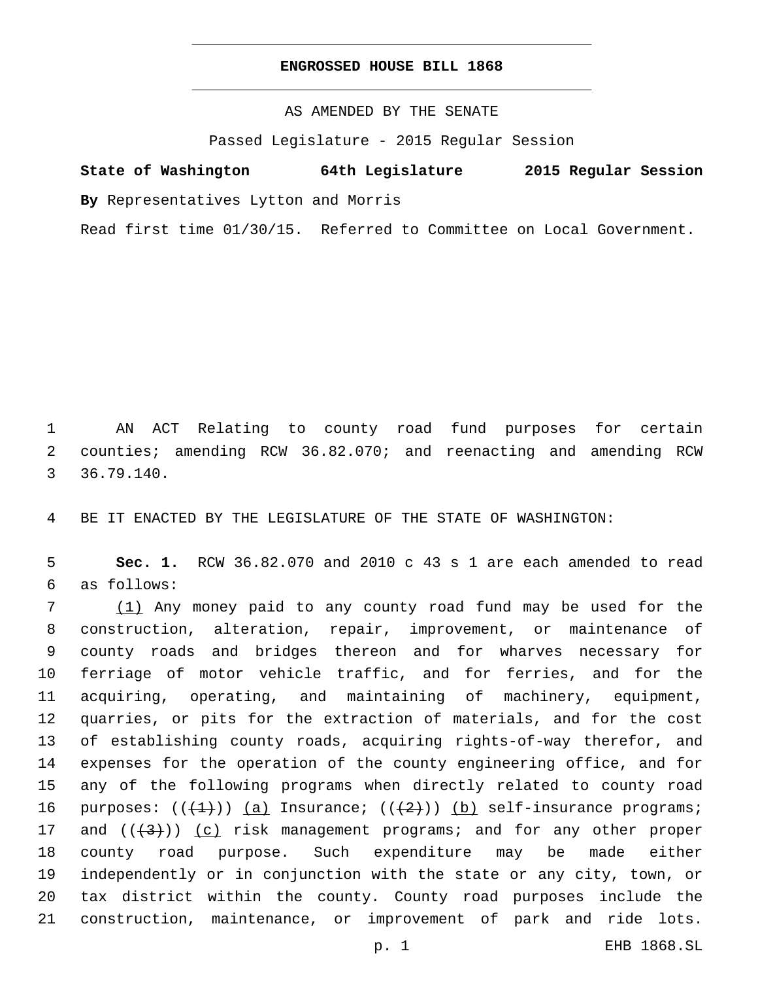## **ENGROSSED HOUSE BILL 1868**

AS AMENDED BY THE SENATE

Passed Legislature - 2015 Regular Session

# **State of Washington 64th Legislature 2015 Regular Session**

**By** Representatives Lytton and Morris

Read first time 01/30/15. Referred to Committee on Local Government.

 AN ACT Relating to county road fund purposes for certain counties; amending RCW 36.82.070; and reenacting and amending RCW 36.79.140.3

BE IT ENACTED BY THE LEGISLATURE OF THE STATE OF WASHINGTON:

 **Sec. 1.** RCW 36.82.070 and 2010 c 43 s 1 are each amended to read as follows:6

 (1) Any money paid to any county road fund may be used for the construction, alteration, repair, improvement, or maintenance of county roads and bridges thereon and for wharves necessary for ferriage of motor vehicle traffic, and for ferries, and for the acquiring, operating, and maintaining of machinery, equipment, quarries, or pits for the extraction of materials, and for the cost of establishing county roads, acquiring rights-of-way therefor, and expenses for the operation of the county engineering office, and for any of the following programs when directly related to county road 16 purposes:  $((+1))$  (a) Insurance;  $((+2))$  (b) self-insurance programs; 17 and  $((+3))$   $(c)$  risk management programs; and for any other proper county road purpose. Such expenditure may be made either independently or in conjunction with the state or any city, town, or tax district within the county. County road purposes include the construction, maintenance, or improvement of park and ride lots.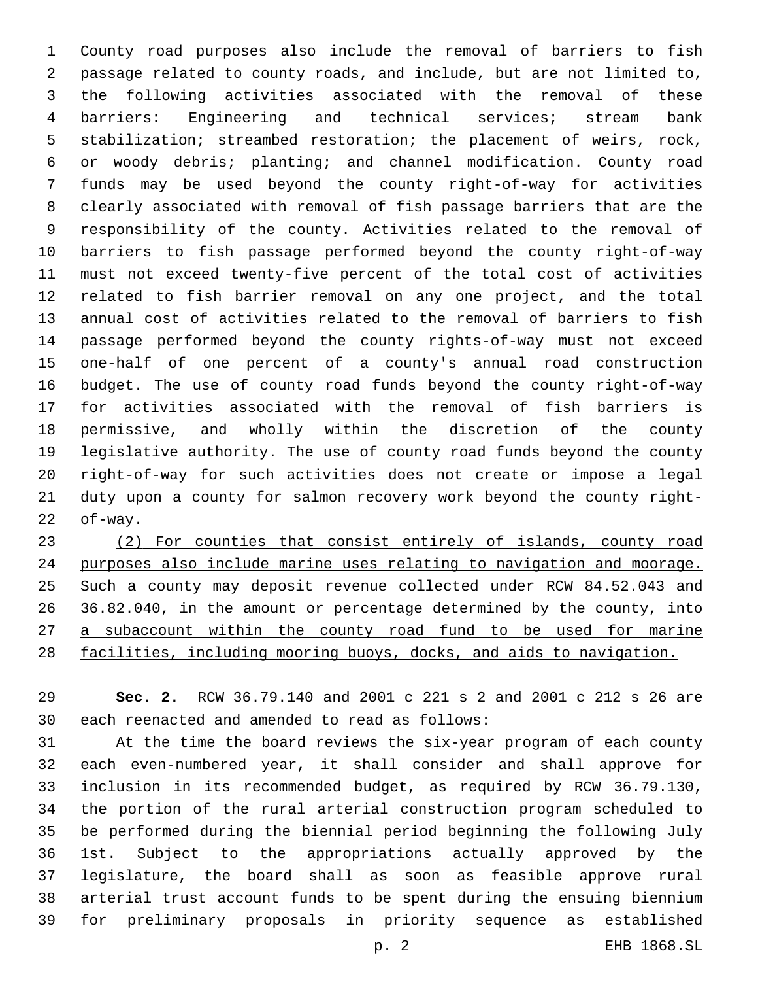County road purposes also include the removal of barriers to fish 2 passage related to county roads, and include, but are not limited to, the following activities associated with the removal of these barriers: Engineering and technical services; stream bank stabilization; streambed restoration; the placement of weirs, rock, or woody debris; planting; and channel modification. County road funds may be used beyond the county right-of-way for activities clearly associated with removal of fish passage barriers that are the responsibility of the county. Activities related to the removal of barriers to fish passage performed beyond the county right-of-way must not exceed twenty-five percent of the total cost of activities related to fish barrier removal on any one project, and the total annual cost of activities related to the removal of barriers to fish passage performed beyond the county rights-of-way must not exceed one-half of one percent of a county's annual road construction budget. The use of county road funds beyond the county right-of-way for activities associated with the removal of fish barriers is permissive, and wholly within the discretion of the county legislative authority. The use of county road funds beyond the county right-of-way for such activities does not create or impose a legal duty upon a county for salmon recovery work beyond the county right-of-way.

 (2) For counties that consist entirely of islands, county road purposes also include marine uses relating to navigation and moorage. Such a county may deposit revenue collected under RCW 84.52.043 and 36.82.040, in the amount or percentage determined by the county, into a subaccount within the county road fund to be used for marine facilities, including mooring buoys, docks, and aids to navigation.

 **Sec. 2.** RCW 36.79.140 and 2001 c 221 s 2 and 2001 c 212 s 26 are 30 each reenacted and amended to read as follows:

 At the time the board reviews the six-year program of each county each even-numbered year, it shall consider and shall approve for inclusion in its recommended budget, as required by RCW 36.79.130, the portion of the rural arterial construction program scheduled to be performed during the biennial period beginning the following July 1st. Subject to the appropriations actually approved by the legislature, the board shall as soon as feasible approve rural arterial trust account funds to be spent during the ensuing biennium for preliminary proposals in priority sequence as established